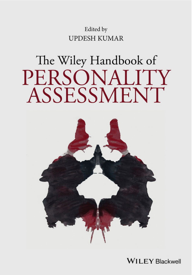Edited by **UPDESH KUMAR** 

# The Wiley Handbook of PERSONALITY ASSESSMENT



**WILEY Blackwell**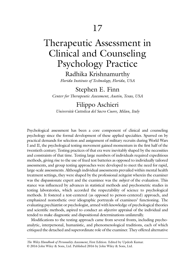## Therapeutic Assessment in Clinical and Counseling Psychology Practice

## Radhika Krishnamurthy

*Florida Institute of Technology, Florida, USA*

## Stephen E. Finn

*Center for Therapeutic Assessment, Austin, Texas, USA*

### Filippo Aschieri

*Università Cattolica del Sacro Cuore, Milan, Italy*

Psychological assessment has been a core component of clinical and counseling psychology since the formal development of these applied specialties. Spurred on by practical demands for selection and assignment of military recruits during World Wars I and II, the psychological testing movement gained momentum in the first half of the twentieth century. Testing practices of that era were inevitably shaped by the necessities and constraints of that time. Testing large numbers of individuals required expeditious methods, giving rise to the use of fixed test batteries as opposed to individually tailored assessments, and group testing approaches were developed to meet the need for rapid, large‐scale assessments. Although individual assessments prevailed within mental health treatment settings, they were shaped by the professional zeitgeist wherein the examiner was the dispassionate expert and the examinee was the *subject* of the evaluation. This stance was influenced by advances in statistical methods and psychometric studies in testing laboratories, which accorded the respectability of science to psychological methods. It fostered a test-centered (as opposed to person-centered) approach, and emphasized nomothetic over idiographic portrayals of examinees' functioning. The evaluating psychiatrist or psychologist, armed with knowledge of psychological theories and scientific methods, aspired to conduct an *objective* appraisal of the individual and tended to make diagnostic and dispositional determinations unilaterally.

Modifications to the testing approach came from several fronts, including psychoanalytic, interpersonal, humanistic, and phenomenological traditions, each of which critiqued the detached and superordinate role of the examiner. They offered alternative

*The Wiley Handbook of Personality Assessment*, First Edition. Edited by Updesh Kumar. © 2016 John Wiley & Sons, Ltd. Published 2016 by John Wiley & Sons, Ltd.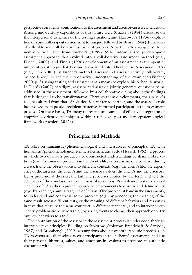perspectives on clients' contributions to the assessment and assessor–assessee interaction. Among mid‐century expositions of this nature were Schafer's (1954) discourse on the interpersonal dynamics of the testing situation, and Harrower's (1956) explication of a psychotherapeutic assessment technique, followed by Berg's (1984) delineation of a flexible and collaborative assessment process. A particularly strong push for a new direction came from Fischer's (1985/1994) individualized psychological assessment approach that evolved into a collaborative assessment method (e.g., Fischer, 2000), and Finn's (1996) development of an assessment-as-therapeuticintervention strategy that became formalized into Therapeutic Assessment (TA) (e.g., Finn, 2007). In Fischer's method, assessor and assessee actively collaborate, or "co‐labor," to achieve a productive understanding of the examinee (Fischer, 2000, p. 3), using testing and assessment as a means to explore his or her life world. In Finn's (2007) paradigm, assessor and assessee jointly generate questions to be addressed in the assessment, followed by a collaborative dialog about the findings that is designed to be transformative. Through these developments, the assessor's role has altered from that of sole decision‐maker to partner, and the assessee's role has evolved from passive recipient to active, informed participant in the assessment process. On these bases, TA today represents an example of effective integration of empirically oriented techniques within a reflexive, post-modern epistemological framework (Aschieri, 2012a).

#### **Principles and Methods**

TA relies on humanistic/phenomenological and intersubjective principles. TA is, in humanistic/phenomenological terms, a hermeneutic cycle (Husserl, 1962): a process in which two observers produce a co-constructed understanding by sharing observations (e.g., focusing on problems in the client's life, or on a score or a behavior during a test), frame the observations into different contexts (e.g., the client's life, the experience of the assessor, the client's and the assessor's values, the client's and the assessor's lay or professional theories, the task and processes elicited by the test), and test the adequacy of the conclusions through new observations. Psychological tests are crucial elements of TA as they represent controlled environments to observe and define reality (e.g., by reaching a mutually agreed definition of the problem at hand in the assessment), to understand and contextualize the problem (e.g., by pondering the meaning of the same result across different tests, or the meaning of different behaviors and responses in tests that measure the same construct in different manners), and to intervene with clients' problematic behaviors (e.g., by asking clients to change their approach or to try out new behaviors to a test).

The contribution of the assessor in the assessment process is understood through intersubjective principles. Building on Stolorow (Stolorow, Brandchaft, & Atwood, 1987) and Bromberg's (2012) assumptions about psychotherapeutic processes, in TA assessors see themselves as co-participants in their clients' assessments and use their personal histories, values, and emotions in sessions to promote an authentic encounter with clients.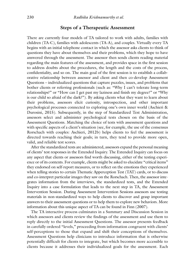#### **Steps of a Therapeutic Assessment**

There are currently four models of TA tailored to work with adults, families with children (TA‐C), families with adolescents (TA‐A), and couples. Virtually every TA begins with an initial telephone contact in which the assessor asks clients to think of questions they have about themselves and their problems, which they hope to have answered through the assessment. The assessor then sends clients reading material regarding the main features of the assessment, and provides space in the first session to address doubts about the procedures, the length and the costs of the process, confidentiality, and so on. The main goal of the first session is to establish a collaborative relationship between assessor and client and then co‐develop Assessment Questions – individualized questions that capture puzzles, issues, and problems that bother clients or referring professionals (such as: "Why I can't tolerate long-term relationships?" or "How can I get past my laziness and finish my degree?" or "Why is our child so afraid of the dark?"). By asking clients what they want to learn about their problems, assessors elicit curiosity, introspection, and other important psychological processes connected to exploring one's own inner world (Aschieri & Durosini, 2015). Subsequently, in the step of Standardized Test Administration, assessors select and administer psychological tests chosen on the basis of the Assessment Questions. Matching the choice of tests with assessment questions and with specific aspects of a client's situation (see, for example, the use of the consensus Rorschach with couples: Aschieri, 2012b) helps clients to feel the assessment is directed towards reaching their goals; in turn, they tend to provide more open, valid, and reliable test scores.

After the standardized tests are administered, assessors expand the personal meaning of clients' test responses in the Extended Inquiry. The Extended Inquiry can focus on any aspect that clients or assessors find worth discussing, either of the testing experience or of its contents. For example, clients might be asked to elucidate "critical items" they endorsed on self‐report measures, or to reflect on the emotions they experienced when telling stories to certain Thematic Apperception Test (TAT) cards, or to discuss and co-interpret particular images they saw on the Rorschach. Then, the assessor integrates information from the interviews, the standardized tests, and the Extended Inquiry into a case formulation that leads to the next step in TA, the Assessment Intervention Session. During Assessment Intervention Sessions assessors use testing materials in non‐standardized ways to help clients to discover and grasp important answers to their assessment questions or to help them to explore new behaviors. More information about this unique aspect of TA can be found in Finn (2007).

The TA interactive process culminates in a Summary and Discussion Session in which assessors and clients review the findings of the assessment and use them to reply directly to the initial Assessment Questions. The assessor presents feedback in carefully ordered "levels," proceeding from information congruent with clients' self-perceptions to those that expand and shift their conceptions of themselves. Assessment Questions help clinicians to introduce information that is otherwise potentially difficult for clients to integrate, but which becomes more accessible to clients because it addresses their individualized goals for the assessment. Each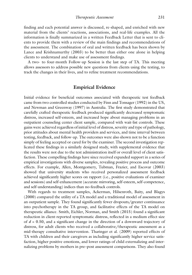finding and each potential answer is discussed, re‐shaped, and enriched with new material from the clients' reactions, associations, and real‐life examples. All the information is finally summarized in a written Feedback Letter that is sent to clients to provide them with a review of the main findings and recommendations of the assessment. The combination of oral and written feedback has been shown by Lance and Krishnamurthy (2003) to be better than either one alone in helping clients to understand and make use of assessment findings.

A two‐ to four‐month Follow‐up Session is the last step of TA. This meeting allows assessors to address possible new questions from clients using the testing, to track the changes in their lives, and to refine treatment recommendations.

#### **Empirical Evidence**

Initial evidence for beneficial outcomes associated with therapeutic test feedback came from two controlled studies conducted by Finn and Tonsager (1992) in the US, and Newman and Greenway (1997) in Australia. The first study demonstrated that carefully crafted therapeutic feedback produced significantly decreased symptomatic distress, increased self‐esteem, and increased hope about managing problems in an outpatient counseling center client sample, compared with wait‐list controls. These gains were achieved regardless of initial level of distress, severity and type of pathology, prior attitudes about mental health providers and services, and time interval between testing, feedback, and follow‐up. The outcomes were also shown not to be a function simply of feeling accepted or cared for by the examiner. The second investigation replicated these findings in a similarly designed study, with supplemental evidence that the results were not due to the test administration itself or overall level of client satisfaction. These compelling findings have since received expanded support in a series of empirical investigations with diverse samples, revealing positive process and outcome effects. For example, Allen, Montgomery, Tubman, Frazier, and Escovar (2003) showed that university students who received personalized assessment feedback achieved significantly higher scores on rapport (i.e., positive evaluations of examiner and sessions) and self‐enhancement (accurate mirroring, self‐esteem, self‐competence, and self-understanding) indices than no-feedback controls.

With regards to treatment samples, Ackerman, Hilsenroth, Baity, and Blagys (2000) compared the utility of a TA model and a traditional model of assessment in an outpatient sample. They found significantly fewer dropouts/greater continuance into psychotherapy in the TA group, and facilitative effects of the TA model on therapeutic alliance. Smith, Eichler, Norman, and Smith (2015) found a significant reduction in client‐reported symptomatic distress, reflected in a medium effect size of *d* = 0.50, and a significant change in the direction of a downward trajectory of distress, for adult clients who received a collaborative/therapeutic assessment as a mid‐therapy consultative intervention. Tharinger et al. (2009) reported effects of TA with children and their caregivers as including significantly higher service satisfaction, higher positive emotions, and lower ratings of child externalizing and internalizing problems by mothers in pre–post assessment comparisons. They also found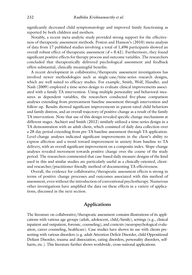significantly decreased child symptomatology and improved family functioning as reported by both children and mothers.

Notably, a recent meta‐analytic study provided strong support for the effectiveness of therapeutic assessment methods. Poston and Hanson's (2010) meta‐analysis of data from 17 published studies involving a total of 1,496 participants showed an overall robust effect of therapeutic assessment  $(d = 0.42)$ . Furthermore, they found significant positive effects for therapy process and outcome variables. The researchers concluded that therapeutically delivered psychological assessment and feedback offers substantial, clinically meaningful benefits.

A recent development in collaborative/therapeutic assessment investigations has involved newer methodologies such as single‐case/time‐series research designs, which are well suited to efficacy studies. For example, Smith, Wolf, Handler, and Nash (2009) employed a time‐series design to evaluate clinical improvements associated with a family TA intervention. Using multiple personality and behavioral measures as dependent variables, the researchers conducted five‐phase comparison analyses extending from pretreatment baseline assessment through intervention and follow‐up. Results showed significant improvements in parent‐rated child behaviors and family distress, and an overall trajectory of positive change as a result of the family TA intervention. Note that use of this design revealed specific change mechanisms at different stages. Aschieri and Smith (2012) similarly utilized a time‐series design in a TA demonstration with an adult client, which consisted of daily data collection over a 28‐day period extending from pre‐TA baseline assessment through TA application. Level‐change analyses indicated significant improvements in the client's ability to express affection and a trend toward improvement in anxiety from baseline to TA delivery, with an overall significant improvement on a composite index. Slope‐change analyses revealed movement towards positive change over the course of the study period. The researchers commented that case‐based daily measure designs of the kind used in this and similar studies are particularly useful as a clinically‐oriented, client‐ and researcher/practitioner‐friendly method of documenting TA effectiveness.

Overall, the evidence for collaborative/therapeutic assessment effects is strong in terms of positive change processes and outcomes associated with this method of assessment, even without the introduction of conventional psychotherapy. Numerous other investigations have amplified the data on these effects in a variety of applications, discussed in the next section.

#### **Applications**

The literature on collaborative/therapeutic assessment contains illustrations of its applications with various age groups (adult, adolescent, child/family), settings (e.g., clinical inpatient and outpatient, forensic, counseling), and contexts (neuropsychological evaluation, career counseling, healthcare). Case studies have shown its use with clients presenting with various disorders (e.g. adult Attention Deficit Disorder, child Oppositional Defiant Disorder, trauma and dissociation, eating disorders, personality disorders, self‐ harm, etc.). This literature further shows worldwide, cross-national applications.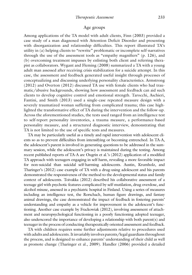#### Age groups

Among applications of the TA model with adult clients, Finn (2003) provided a case study of a man diagnosed with Attention Deficit Disorder and presenting with disorganization and relationship difficulties. This report illustrated TA's utility in (a) helping clients to "rewrite" problematic or incomplete self‐narratives through the use of the assessment tools as "empathy magnifiers" (p. 126), and (b) overcoming treatment impasses by enlisting both client and referring therapist as collaborators. Wygant and Fleming (2008) summarized a TA with a young adult man assessed after receiving crisis stabilization for a suicide attempt. In this case, the assessment and feedback generated useful insight through processes of conceptualizing and discussing underlying personality characteristics. Armstrong (2012) and Overton (2012) discussed TA use with female clients who had traumatic/abusive backgrounds, showing how assessment and feedback can aid such clients to develop cognitive control and emotional strength. Tarocchi, Aschieri, Fantini, and Smith (2013) used a single‐case repeated measure design with a severely traumatized woman suffering from complicated trauma; this case highlighted the transformative effect of TA during the intervention and the follow‐up. Across the aforementioned studies, the tests used ranged from an intelligence test to self-report personality inventories, a trauma measure, a performance-based personality measure, and a structured diagnostic interview, demonstrating that TA is not limited to the use of specific tests and measures.

TA may be particularly useful as a timely and rapid intervention with adolescent clients so as to prevent difficulties from intensifying or becoming entrenched. In TA‐A, the adolescent's parent is involved in generating questions to be addressed in the summary session, while the adolescent's privacy is maintained during the testing. Among recent published reports of TA‐A are Ougrin et al.'s (2012) application of a modified TA approach with teenagers engaging in self‐harm, revealing a more favorable impact for non‐suicidal than suicidal self‐harming adolescents. Austin, Krumholz, and Tharinger's (2012) case example of TA with a drug‐using adolescent and his parents demonstrated the responsiveness of the method to the developmental status and family context of adolescents. Toivakka (2012) described his collaborative assessment of a teenage girl with psychotic features complicated by self‐mutilation, drug overdose, and alcohol misuse, assessed in a psychiatric hospital in Finland. Using a series of measures including an intelligence test, the Rorschach, human figure drawings, and fantasy animal drawings, the case demonstrated the impact of feedback in fostering parents' understanding and empathy as a vehicle for improvement in the adolescent's functioning. Another case example by Frackowiak (2012), involving assessment of attachment and neuropsychological functioning in a poorly functioning adopted teenager, also underscored the importance of developing a relationship with both parent(s) and teenager in the process of conducting therapeutically oriented assessment and feedback.

TA with children requires some further adjustments relative to procedures used with adults and adolescents. It invariably involves parents/legal guardians throughout the process, and is designed to enhance parents' understanding of their child as well as promote change (Tharinger et al., 2009). Handler (2006) provided a detailed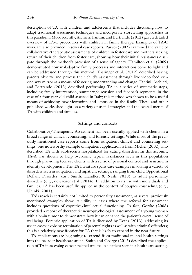description of TA with children and adolescents that includes discussing how to adapt traditional assessment techniques and incorporate storytelling approaches in this paradigm. More recently, Aschieri, Fantini, and Bertrando (2012) gave a detailed overview of TA‐C procedures with children in family therapy. Examples of TA‐C work are also provided in several case reports. Purves (2002) examined the value of collaborative/therapeutic assessments of children in foster care and mothers seeking return of their children from foster care, showing how their initial resistances dissipate through the method's provision of a sense of agency. Hamilton et al. (2009) demonstrated how maladaptive family processes and interactions come to light and can be addressed through this method. Tharinger et al. (2012) described having parents observe and process their child's assessment through live video feed or a one‐way mirror as a means of fostering understanding and change. Fantini, Aschieri, and Bertrando (2013) described performing TA in a series of systematic steps, including family intervention, summary/discussion and feedback segments, in the case of a four‐year‐old child assessed in Italy; this method was shown to be a useful means of achieving new viewpoints and emotions in the family. These and other published works shed light on a variety of useful strategies and the overall merits of TA with children and families.

#### Settings and contexts

Collaborative/Therapeutic Assessment has been usefully applied with clients in a broad range of clinical, counseling, and forensic settings. While most of the previously mentioned case reports come from outpatient clinical and counseling settings, one noteworthy example of inpatient application is from Michel (2002) who described TA with adolescents hospitalized for eating disorders. In this account, TA‐A was shown to help overcome typical resistances seen in this population through providing teenage clients with a sense of personal control and assisting in identity development. The TA literature spans case examples involving a variety of disorders seen in outpatient and inpatient settings, ranging from child Oppositional Defiant Disorder (e.g., Smith, Handler, & Nash, 2010) to adult personality disorders (e.g., de Saeger et al., 2014). In addition to its use with individuals and families, TA has been usefully applied in the context of couples counseling (e.g., Uhinki, 2001).

TA's reach is certainly not limited to personality assessment, as several previously mentioned examples show its utility in cases where the referral for assessment includes questions of cognitive/intellectual functioning. In fact, Gorske (2008) provided a report of therapeutic neuropsychological assessment of a young woman with a brain tumor to demonstrate how it can enhance the patient's overall sense of wellbeing. Forensic application of TA is discussed by Evans (2013), addressing its use in cases involving termination of parental rights as well as with criminal offenders; this is a relatively new frontier for TA that is likely to expand in the near future.

TA applications are beginning to extend from traditional mental health settings into the broader healthcare arena. Smith and George (2012) described the application of TA in assessing cancer-related trauma in a patient seen in a healthcare setting.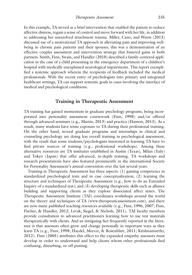In this example, TA served as a brief intervention that enabled the patient to reduce affective distress, regain a sense of control and move forward with her life, in addition to addressing her unresolved attachment trauma. Miller, Cano, and Wurm (2013) discussed use of a motivational TA approach in alleviating pain and improving wellbeing in chronic pain patients and their spouses; this was a demonstration of an effective couples assessment and intervention strategy that fostered gains in both partners. Smith, Finn, Swain, and Handler (2010) described a family‐centered application in the case of a child presenting in the emergency department of a children's hospital with medically unexplained neurological impairments. This report exemplified a systemic approach wherein the recipients of feedback included the medical professionals. With the recent entry of psychologists into primary and integrated healthcare settings, TA can support systemic goals in cases involving the interface of medical and psychological conditions.

#### **Training in Therapeutic Assessment**

TA training has gained momentum in graduate psychology programs, being incorporated into personality assessment coursework (Finn, 1998) and/or offered through advanced seminars (e.g., Martin, 2013) and practica (Hanson, 2013). As a result, many students have some exposure to TA during their professional training. On the other hand, several graduate programs and internships in clinical and counseling psychology are doing less overall training in psychological assessment, with the result that some students/psychologists interested in learning TA have to find private sources of training (e.g., professional workshops). Among these alternative resources are TA institutes established in Austin (Texas), Milan (Italy) and Tokyo (Japan) that offer advanced, in‐depth training. TA workshops and research presentations have also featured prominently in the international Society for Personality Assessment's annual convention over the last several years.

Training in Therapeutic Assessment has three aspects: (1) gaining competence in standardized psychological tests and in case conceptualization; (2) learning the structure and techniques of Therapeutic Assessment (e.g., how to do an Extended Inquiry of a standardized test); and (3) developing therapeutic skills such as alliance building and supporting clients as they explore dissociated affect states. The Therapeutic Assessment Institute (TAI) coordinates workshops around the world on the theory and techniques of TA (www.therapeuticassessment.com), and there are now many published teaching resources available (e.g., Finn, 1996, 2007; Finn, Fischer, & Handler, 2012; Levak, Siegel, & Nichols, 2011). TAI faculty members provide consultation to advanced practitioners learning how to use test materials therapeutically with clients. And an intriguing fact frequently reported in the literature is that assessors often grow and change personally in important ways as they learn TA (e.g., Finn, 1998; Haydel, Mercer, & Rosenblatt, 2011; Krishnamurthy, 2012). Finn (2005) attributes this effect to the expanded empathy assessors must develop in order to understand and help clients whom other professionals find confusing, disturbing, or off‐putting.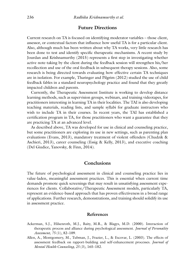#### **Future Directions**

Current research on TA is focused on identifying moderator variables – those client, assessor, or contextual factors that influence how useful TA is for a particular client. Also, although much has been written about why TA works, very little research has been done to test and identify specific therapeutic mechanisms. A recent study by Jourdan and Krishnamurthy (2015) represents a first step in investigating whether active note‐taking by the client during the feedback session will strengthen his/her recollection and use of the oral feedback in subsequent therapy sessions. Also, some research is being directed towards evaluating how effective certain TA techniques are in isolation. For example, Tharinger and Pilgrim (2012) studied the use of child feedback fables in a standard neuropsychology practice and found that they greatly impacted children and parents.

Currently, the Therapeutic Assessment Institute is working to develop distance learning methods, such as supervision groups, webinars, and training videotapes, for practitioners interesting in learning TA in their localities. The TAI is also developing teaching materials, reading lists, and sample syllabi for graduate instructors who wish to include TA in their courses. In recent years, the TAI has established a certification program in TA, for those practitioners who want a guarantee that they are practicing TA at an advanced level.

As described above, TA was developed for use in clinical and counseling practice, but some practitioners are exploring its use in new settings, such as parenting plan evaluations (Evans, 2013), mandatory treatment of violent offenders (Chudzik & Aschieri, 2013), career counseling (Essig & Kelly, 2013), and executive coaching (Del Giudice, Yanovsky, & Finn, 2014).

#### **Conclusions**

The future of psychological assessment in clinical and counseling practice lies in value‐laden, meaningful assessment practices. This is essential when current time demands promote quick screenings that may result in unsatisfying assessment experiences for clients. Collaborative/Therapeutic Assessment models, particularly TA, represent an evidence‐based approach that has proven effectiveness in a broad range of applications. Further research, demonstrations, and training should solidify its use in assessment practice.

#### **References**

- Ackerman, S.J., Hilsenroth, M.J., Baity, M.R., & Blagys, M.D. (2000). Interaction of therapeutic process and alliance during psychological assessment. *Journal of Personality Assessment, 75* (1), 82–109.
- Allen, A., Montgomery, M., Tubman, J., Frazier, L., & Escovar, L. (2003). The effects of assessment feedback on rapport‐building and self‐enhancement processes. *Journal of Mental Health Counseling, 25* (3), 165–182.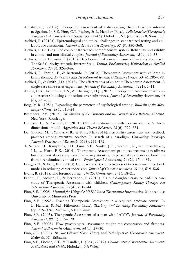- Armstrong, J. (2012). Therapeutic assessment of a dissociating client: Learning internal navigation. In S.E. Finn, C.T. Fischer, & L. Handler (Eds.), *Collaborative/Therapeutic Assessment: A Casebook and Guide* (pp. 27–46). Hoboken, NJ: John Wiley & Sons, Ltd.
- Aschieri, F. (2012a). Epistemological and ethical challenges in standardized testing and collaborative assessment. *Journal of Humanistic Psychology, 52* (3), 350–368.
- Aschieri, F. (2012b). The conjoint Rorschach comprehensive system: Reliability and validity in clinical and non‐clinical couples. *Journal of Personality Assessment, 95* (1), 46–53.
- Aschieri, F., & Durosini, I. (2015). Development of a new measure of curiosity about self: The Self‐Curiosity Attitude‐Interest Scale. *Testing, Psychometrics, Methodology in Applied Psychology, 22* (3), 326–346.
- Aschieri, F., Fantini, F., & Bertrando, P. (2012). Therapeutic Assessment with children in family therapy. *Australian and New Zealand Journal of Family Therapy, 33* (4), 285–298.
- Aschieri, F., & Smith, J.D. (2012). The effectiveness of an adult Therapeutic Assessment: A single‐case time‐series experiment. *Journal of Personality Assessment, 94* (1), 1–11.
- Austin, C.A., Krumholz, L.S., & Tharinger, D.J. (2012). Therapeutic Assessment with an adolescent: Choosing connections over substances. *Journal of Personality Assessment, 94* (6), 571–585.
- Berg, M.R. (1984). Expanding the parameters of psychological testing. *Bulletin of the Menninger Clinic, 48* (1), 10–24.
- Bromberg, P.M. (2012). *The Shadow of the Tsunami and the Growth of the Relational Mind*. New York: Routledge.
- Chudzik, L., & Aschieri, F. (2013). Clinical relationships with forensic clients: A three‐ dimensional model. *Aggression and Violent Behavior, 18* (6), 722–731.
- Del Giudice, M.J., Yanovsky, B., & Finn, S.E. (2014). Personality assessment and feedback practices among executive coaches: In search of a paradigm. *Consulting Psychology Journal: Practice and Research, 66* (3), 155–172.
- de Saeger, H., Kamphuis, J.H., Finn, S.E., Smith, J.D., Verheul, R., van Busschbach, J.J., … Horn, E.K. (2014). Therapeutic Assessment promotes treatment readiness but does not affect symptom change in patients with personality disorders: Findings from a randomized clinical trial. *Psychological Assessment, 26* (2), 474–483.
- Essig, G.N., & Kelly, K.R. (2013). Comparison of the effectiveness of two assessment feedback models in reducing career indecision. *Journal of Career Assessment, 21* (4), 519–536.
- Evans, B. (2013). The forensic corner. *The TA Connection, 1* (1), 18–21.
- Fantini, F., Aschieri, F., & Bertrando, P. (2013). "Is our daughter crazy or bad?" A case study of Therapeutic Assessment with children. *Contemporary Family Therapy: An International Journal, 35* (4), 731–744.
- Finn, S.E. (1996). *Manual for Using the MMPI‐2 as a Therapeutic Intervention*. Minneapolis: University of Minnesota Press.
- Finn, S.E. (1998). Teaching Therapeutic Assessment in a required graduate course. In L. Handler, & M.J. Hilsenroth (Eds.), *Teaching and Learning Personality Assessment* (pp. 359–376). Mahwah, NJ: Erlbaum.
- Finn, S.E. (2003). Therapeutic Assessment of a man with "ADD". *Journal of Personality Assessment, 80* (2), 115–129.
- Finn, S.E. (2005). How psychological assessment taught me compassion and firmness. *Journal of Personality Assessment, 84* (1), 27–30.
- Finn, S.E. (2007). *In Our Clients' Shoes: Theory and Techniques of Therapeutic Assessment*. Mahwah, NJ: Erlbaum.
- Finn, S.E., Fischer, C.T., & Handler, L. (Eds.) (2012). *Collaborative/Therapeutic Assessment: A Casebook and Guide*. Hoboken, NJ: Wiley.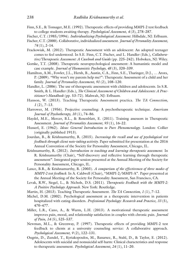- Finn, S.E., & Tonsager, M.E. (1992). Therapeutic effects of providing MMPI‐2 test feedback to college students awaiting therapy. *Psychological Assessment, 4* (3), 278–287.
- Fischer, C.T. (1985/1994). *Individualizing Psychological Assessment*. Hillsdale, NJ: Erlbaum.
- Fischer, C.T. (2000). Collaborative, individualized assessment. *Journal of Personality Assessment, 74* (1), 2–14.
- Frackowiak, M. (2012). Therapeutic Assessment with an adolescent: An adopted teenager comes to feel understood. In S.E. Finn, C.T. Fischer, and L. Handler (Eds.), *Collaborative/Therapeutic Assessment: A Casebook and Guide* (pp. 225–242). Hoboken, NJ: Wiley.
- Gorske, T.T. (2008). Therapeutic neuropsychological assessment: A humanistic model and case example. *Journal of Humanistic Psychology, 48* (3), 320–339.
- Hamilton, A.M., Fowler, J.L., Hersh, B., Austin, C.A., Finn, S.E., Tharinger, D.J., … Arora, P. (2009). "Why won't my parents help me?": Therapeutic Assessment of a child and her family. *Journal of Personality Assessment, 91* (2), 108–120.
- Handler, L. (2006). The use of therapeutic assessment with children and adolescents. In S.R. Smith, & L. Handler (Eds.), *The Clinical Assessment of Children and Adolescents: A Practitioner's Handbook* (pp. 53–72). Mahwah, NJ: Erlbaum.
- Hanson, W. (2013). Teaching Therapeutic Assessment practica. *The TA Connection, 1* (2), 7–13.
- Harrower, M. (1956). Projective counseling: A psychotherapeutic technique. *American Journal of Psychotherapy, 10* (1), 74–86.
- Haydel, M.E., Mercer, B.L., & Rosenblatt, E. (2011). Training assessors in Therapeutic Assessment. *Journal of Personality Assessment, 93* (1), 16–22.
- Husserl, E. (1962). *Ideas: General Introduction to Pure Phenomenology*. London: Collier (originally published 1913).
- Jourdan, B., & Krishnamurthy, R. (2015). *Increasing the recall and use of psychological test feedback through client note‐taking activity*. Paper submitted for presentation at the 2016 Annual Convention of the Society for Personality Assessment, Chicago, IL.
- Krishnamurthy, R. (2012). *Introduction to teaching and learning therapeutic assessment*. In R. Krishnamurthy (Chair), "Self‐discovery and reflective learning through therapeutic assessment". Integrated paper session presented at the Annual Meeting of the Society for Personality Assessment, Chicago, IL.
- Lance, B.R., & Krishnamurthy, R. (2003). *A comparison of the effectiveness of three modes of MMPI‐2 test feedback*. In A. Caldwell (Chair), "MMPI‐2/MMPI‐A". Paper presented at the Annual Meeting of the Society for Personality Assessment, San Francisco, CA.
- Levak, R.W., Siegel, L., & Nichols, D.S. (2011). *Therapeutic Feedback with the MMPI‐2: A Positive Psychology Approach*. New York: Routledge.
- Martin, H. (2013). Teaching Therapeutic Assessment. *The TA Connection, 1* (1), 7–12.
- Michel, D.M. (2002). Psychological assessment as a therapeutic intervention in patients hospitalized with eating disorders. *Professional Psychology: Research and Practice, 33* (5), 470–477.
- Miller, L.R., Cano, A., & Wurm, L.H. (2013). A motivational therapeutic assessment improves pain, mood, and relationship satisfaction in couples with chronic pain. *Journal of Pain, 14* (5), 525–537.
- Newman, M.L., & Greenway, P. (1997). Therapeutic effects of providing MMPI‐2 test feedback to clients at a university counseling service: A collaborative approach. *Psychological Assessment, 9* (2), 122–131.
- Ougrin, D., Zundel, T., Kyriakopoulos, M., Banarsee, R., Stahl, D., & Taylor, E. (2012). Adolescents with suicidal and nonsuicidal self‐harm: Clinical characteristics and response to therapeutic assessment. *Psychological Assessment, 24* (1), 11–20.